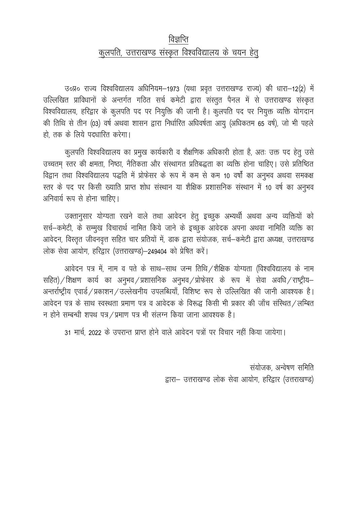## विज्ञप्ति कुलपति, उत्तराखण्ड संस्कृत विश्वविद्यालय के चयन हेत्

उ०प्र० राज्य विश्वविद्यालय अधिनियम-1973 (यथा प्रवृत उत्तराखण्ड राज्य) की धारा-12(2) में उल्लिखित प्राविधानों के अन्तर्गत गठित सर्च कमेटी द्वारा संस्तुत पैनल में से उत्तराखण्ड संस्कृत विश्वविद्यालय, हरिद्वार के कुलपति पद पर नियुक्ति की जानी है। कुलपति पद पर नियुक्त व्यक्ति योगदान की तिथि से तीन (03) वर्ष अथवा शासन द्वारा निर्धारित अधिवर्षता आयु (अधिकतम 65 वर्ष), जो भी पहले हो. तक के लिये पदधारित करेगा।

कुलपति विश्वविद्यालय का प्रमुख कार्यकारी व शैक्षणिक अधिकारी होता है, अतः उक्त पद हेतु उसे उच्चतम् स्तर की क्षमता, निष्ठा, नैतिकता और संस्थागत प्रतिबद्धता का व्यक्ति होना चाहिए। उसे प्रतिष्ठित विद्वान तथा विश्वविद्यालय पद्धति में प्रोफेसर के रूप में कम से कम 10 वर्षों का अनुभव अथवा समकक्ष स्तर के पद पर किसी ख्याति प्राप्त शोध संस्थान या शैक्षिक प्रशासनिक संस्थान में 10 वर्ष का अनुभव अनिवार्य रूप से होना चाहिए।

उक्तानुसार योग्यता रखने वाले तथा आवेदन हेतु इच्छुक अभ्यर्थी अथवा अन्य व्यक्तियों को सर्च–कमेटी, के सम्मुख विचारार्थ नामित किये जाने के इच्छुक आवेदक अपना अथवा नामिति व्यक्ति का आवेदन, विस्तृत जीवनवृत्त सहित चार प्रतियों में, डाक द्वारा संयोजक, सर्च–कमेटी द्वारा अध्यक्ष, उत्तराखण्ड लोक सेवा आयोग, हरिद्वार (उत्तराखण्ड)-249404 को प्रेषित करें।

आवेदन पत्र में, नाम व पते के साथ-साथ जन्म तिथि /शैक्षिक योग्यता (विश्वविद्यालय के नाम सहित) / शिक्षण कार्य का अनुभव / प्रशासनिक अनुभव / प्रोफेसर के रूप में सेवा अवधि / राष्ट्रीय– अन्तर्राष्ट्रीय एवार्ड / प्रकाशन / उल्लेखनीय उपलब्धियाँ, विशिष्ट रूप से उल्लिखित की जानी आवश्यक है। आवेदन पत्र के साथ स्वस्थता प्रमाण पत्र व आवेदक के विरूद्ध किसी भी प्रकार की जाँच संस्थित / लम्बित न होने सम्बन्धी शपथ पत्र / प्रमाण पत्र भी संलग्न किया जाना आवश्यक है।

31 मार्च, 2022 के उपरान्त प्राप्त होने वाले आवेदन पत्रों पर विचार नहीं किया जायेगा।

संयोजक, अन्वेषण समिति द्वारा- उत्तराखण्ड लोक सेवा आयोग, हरिद्वार (उत्तराखण्ड)